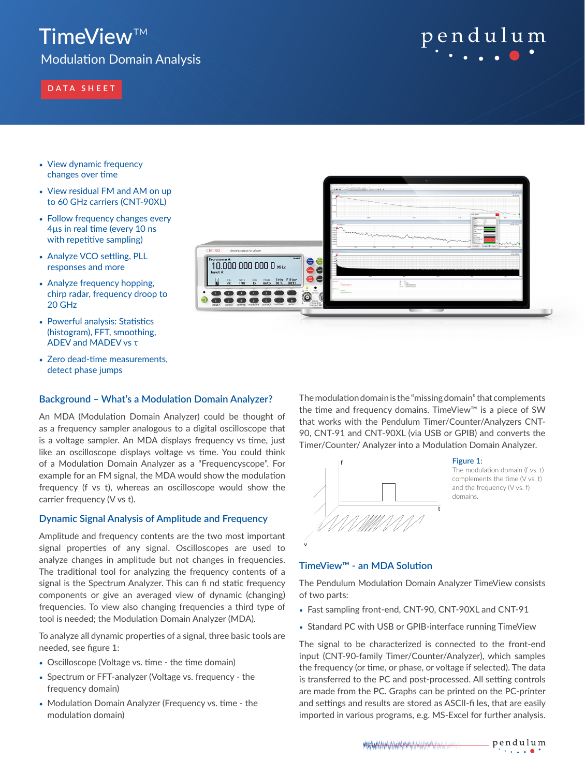# TimeView™

Modulation Domain Analysis

# **DATA SHEET**

# pendulum

- View dynamic frequency changes over time
- View residual FM and AM on up to 60 GHz carriers (CNT-90XL)
- Follow frequency changes every 4µs in real time (every 10 ns with repetitive sampling)
- Analyze VCO settling, PLL responses and more
- Analyze frequency hopping, chirp radar, frequency droop to 20 GHz
- Powerful analysis: Statistics (histogram), FFT, smoothing, ADEV and MADEV vs τ
- Zero dead-time measurements, detect phase jumps

# **Background – What's a Modulation Domain Analyzer?**

An MDA (Modulation Domain Analyzer) could be thought of as a frequency sampler analogous to a digital oscilloscope that is a voltage sampler. An MDA displays frequency vs time, just like an oscilloscope displays voltage vs time. You could think of a Modulation Domain Analyzer as a "Frequencyscope". For example for an FM signal, the MDA would show the modulation frequency (f vs t), whereas an oscilloscope would show the carrier frequency (V vs t).

# **Dynamic Signal Analysis of Amplitude and Frequency**

Amplitude and frequency contents are the two most important signal properties of any signal. Oscilloscopes are used to analyze changes in amplitude but not changes in frequencies. The traditional tool for analyzing the frequency contents of a signal is the Spectrum Analyzer. This can fi nd static frequency components or give an averaged view of dynamic (changing) frequencies. To view also changing frequencies a third type of tool is needed; the Modulation Domain Analyzer (MDA).

To analyze all dynamic properties of a signal, three basic tools are needed, see figure 1:

- Oscilloscope (Voltage vs. time the time domain)
- Spectrum or FFT-analyzer (Voltage vs. frequency the frequency domain)
- Modulation Domain Analyzer (Frequency vs. time the modulation domain)



The modulation domain is the "missing domain" that complements the time and frequency domains. TimeView™ is a piece of SW that works with the Pendulum Timer/Counter/Analyzers CNT-90, CNT-91 and CNT-90XL (via USB or GPIB) and converts the Timer/Counter/ Analyzer into a Modulation Domain Analyzer.



#### Figure 1:

The modulation domain (f vs. t) complements the time (V vs. t) and the frequency (V vs. f) domains.

# **TimeView™ - an MDA Solution**

The Pendulum Modulation Domain Analyzer TimeView consists of two parts:

- Fast sampling front-end, CNT-90, CNT-90XL and CNT-91
- Standard PC with USB or GPIB-interface running TimeView

The signal to be characterized is connected to the front-end input (CNT-90-family Timer/Counter/Analyzer), which samples the frequency (or time, or phase, or voltage if selected). The data is transferred to the PC and post-processed. All setting controls are made from the PC. Graphs can be printed on the PC-printer and settings and results are stored as ASCII-fi les, that are easily imported in various programs, e.g. MS-Excel for further analysis.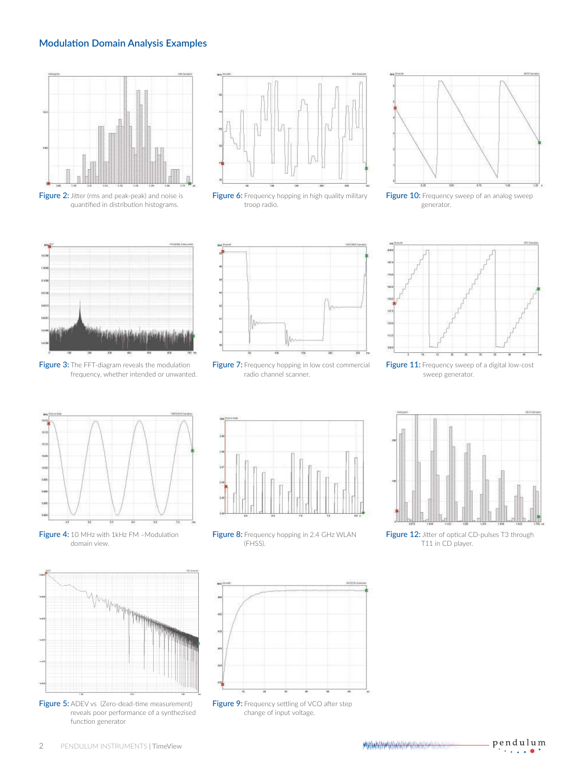# **Modulation Domain Analysis Examples**



Figure 2: Jitter (rms and peak-peak) and noise is quantified in distribution histograms.



Figure 6: Frequency hopping in high quality military troop radio.



Figure 10: Frequency sweep of an analog sweep generator.



Figure 3: The FFT-diagram reveals the modulation frequency, whether intended or unwanted.



Figure 7: Frequency hopping in low cost commercial radio channel scanner.



Figure 11: Frequency sweep of a digital low-cost sweep generator.











Figure 12: Jitter of optical CD-pulses T3 through T11 in CD player.



Figure 5: ADEV vs (Zero-dead-time measurement) reveals poor performance of a synthezised function generator



Figure 9: Frequency settling of VCO after step change of input voltage.